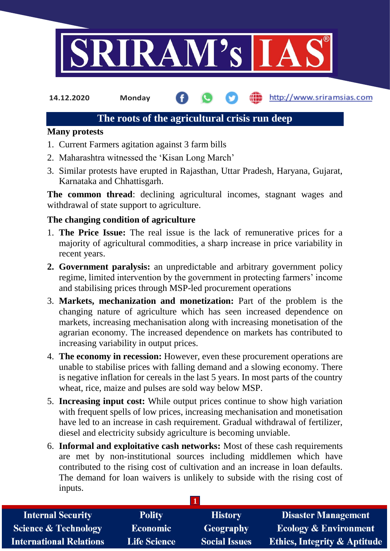

**14.12.2020 Monday**

http://www.sriramsias.com

# **The roots of the agricultural crisis run deep**

## **Many protests**

- 1. Current Farmers agitation against 3 farm bills
- 2. Maharashtra witnessed the 'Kisan Long March'
- 3. Similar protests have erupted in Rajasthan, Uttar Pradesh, Haryana, Gujarat, Karnataka and Chhattisgarh.

**The common thread**: declining agricultural incomes, stagnant wages and withdrawal of state support to agriculture.

## **The changing condition of agriculture**

- 1. **The Price Issue:** The real issue is the lack of remunerative prices for a majority of agricultural commodities, a sharp increase in price variability in recent years.
- **2. Government paralysis:** an unpredictable and arbitrary government policy regime, limited intervention by the government in protecting farmers' income and stabilising prices through MSP-led procurement operations
- 3. **Markets, mechanization and monetization:** Part of the problem is the changing nature of agriculture which has seen increased dependence on markets, increasing mechanisation along with increasing monetisation of the agrarian economy. The increased dependence on markets has contributed to increasing variability in output prices.
- 4. **The economy in recession:** However, even these procurement operations are unable to stabilise prices with falling demand and a slowing economy. There is negative inflation for cereals in the last 5 years. In most parts of the country wheat, rice, maize and pulses are sold way below MSP.
- 5. **Increasing input cost:** While output prices continue to show high variation with frequent spells of low prices, increasing mechanisation and monetisation have led to an increase in cash requirement. Gradual withdrawal of fertilizer, diesel and electricity subsidy agriculture is becoming unviable.
- 6. **Informal and exploitative cash networks:** Most of these cash requirements are met by non-institutional sources including middlemen which have contributed to the rising cost of cultivation and an increase in loan defaults. The demand for loan waivers is unlikely to subside with the rising cost of inputs.

| <b>Internal Security</b>        | <b>Polity</b>       | <b>History</b>       | <b>Disaster Management</b>              |
|---------------------------------|---------------------|----------------------|-----------------------------------------|
| <b>Science &amp; Technology</b> | <b>Economic</b>     | Geography            | <b>Ecology &amp; Environment</b>        |
| <b>International Relations</b>  | <b>Life Science</b> | <b>Social Issues</b> | <b>Ethics, Integrity &amp; Aptitude</b> |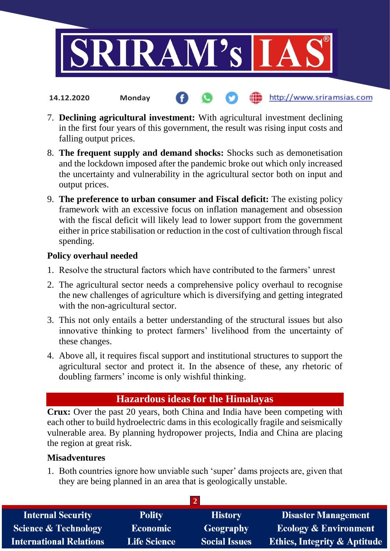

7. **Declining agricultural investment:** With agricultural investment declining in the first four years of this government, the result was rising input costs and falling output prices.

(iii) http://www.sriramsias.com

- 8. **The frequent supply and demand shocks:** Shocks such as demonetisation and the lockdown imposed after the pandemic broke out which only increased the uncertainty and vulnerability in the agricultural sector both on input and output prices.
- 9. **The preference to urban consumer and Fiscal deficit:** The existing policy framework with an excessive focus on inflation management and obsession with the fiscal deficit will likely lead to lower support from the government either in price stabilisation or reduction in the cost of cultivation through fiscal spending.

## **Policy overhaul needed**

**14.12.2020 Monday**

- 1. Resolve the structural factors which have contributed to the farmers' unrest
- 2. The agricultural sector needs a comprehensive policy overhaul to recognise the new challenges of agriculture which is diversifying and getting integrated with the non-agricultural sector.
- 3. This not only entails a better understanding of the structural issues but also innovative thinking to protect farmers' livelihood from the uncertainty of these changes.
- 4. Above all, it requires fiscal support and institutional structures to support the agricultural sector and protect it. In the absence of these, any rhetoric of doubling farmers' income is only wishful thinking.

# **Hazardous ideas for the Himalayas**

**Crux:** Over the past 20 years, both China and India have been competing with each other to build hydroelectric dams in this ecologically fragile and seismically vulnerable area. By planning hydropower projects, India and China are placing the region at great risk.

## **Misadventures**

1. Both countries ignore how unviable such 'super' dams projects are, given that they are being planned in an area that is geologically unstable.

| <b>Internal Security</b>        | <b>Polity</b>       | <b>History</b>       | <b>Disaster Management</b>              |  |  |  |
|---------------------------------|---------------------|----------------------|-----------------------------------------|--|--|--|
| <b>Science &amp; Technology</b> | <b>Economic</b>     | Geography            | <b>Ecology &amp; Environment</b>        |  |  |  |
| <b>International Relations</b>  | <b>Life Science</b> | <b>Social Issues</b> | <b>Ethics, Integrity &amp; Aptitude</b> |  |  |  |